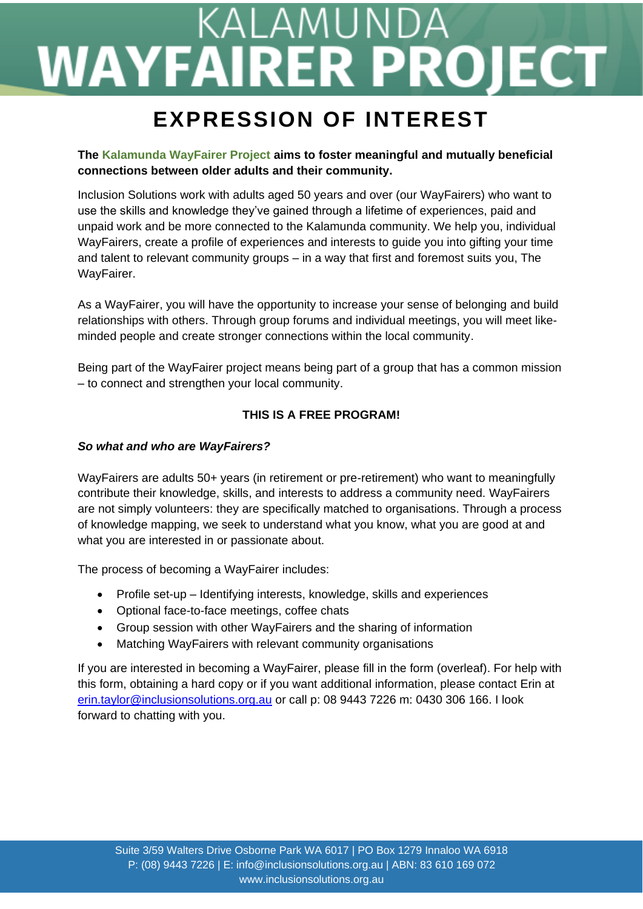## KALAMUNDA **WAYFAIRER PROJECT**

### **EXPRESSION OF INTEREST**

#### **The Kalamunda WayFairer Project aims to foster meaningful and mutually beneficial connections between older adults and their community.**

Inclusion Solutions work with adults aged 50 years and over (our WayFairers) who want to use the skills and knowledge they've gained through a lifetime of experiences, paid and unpaid work and be more connected to the Kalamunda community. We help you, individual WayFairers, create a profile of experiences and interests to guide you into gifting your time and talent to relevant community groups – in a way that first and foremost suits you, The WayFairer.

As a WayFairer, you will have the opportunity to increase your sense of belonging and build relationships with others. Through group forums and individual meetings, you will meet likeminded people and create stronger connections within the local community.

Being part of the WayFairer project means being part of a group that has a common mission – to connect and strengthen your local community.

#### **THIS IS A FREE PROGRAM!**

#### *So what and who are WayFairers?*

WayFairers are adults 50+ years (in retirement or pre-retirement) who want to meaningfully contribute their knowledge, skills, and interests to address a community need. WayFairers are not simply volunteers: they are specifically matched to organisations. Through a process of knowledge mapping, we seek to understand what you know, what you are good at and what you are interested in or passionate about.

The process of becoming a WayFairer includes:

- Profile set-up Identifying interests, knowledge, skills and experiences
- Optional face-to-face meetings, coffee chats
- Group session with other WayFairers and the sharing of information
- Matching WayFairers with relevant community organisations

If you are interested in becoming a WayFairer, please fill in the form (overleaf). For help with this form, obtaining a hard copy or if you want additional information, please contact Erin at [erin.taylor@inclusionsolutions.org.au](mailto:erin.taylor@inclusionsolutions.org.au) or call p: 08 9443 7226 m: 0430 306 166. I look forward to chatting with you.